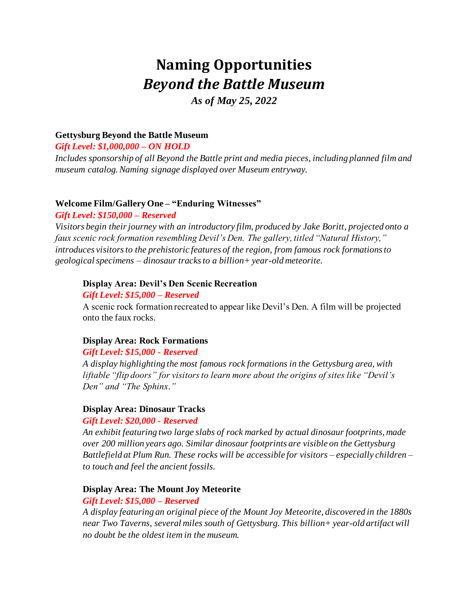# **Naming Opportunities** *Beyond the Battle Museum*

*As of May 25, 2022*

# **Gettysburg Beyond the Battle Museum**

*Gift Level: \$1,000,000 – ON HOLD*

*Includes sponsorship of all Beyond the Battle print and media pieces, including planned film and museum catalog. Naming signage displayed over Museum entryway.* 

#### **Welcome Film/Gallery One – "Enduring Witnesses"**

#### *Gift Level: \$150,000 – Reserved*

*Visitors begin their journey with an introductory film, produced by Jake Boritt, projected onto a faux scenic rock formation resembling Devil's Den. The gallery, titled "Natural History," introduces visitors to the prehistoric features of the region, from famous rock formations to geological specimens – dinosaur tracks to a billion+ year-old meteorite.* 

#### **Display Area: Devil's Den Scenic Recreation**

#### *Gift Level: \$15,000 – Reserved*

A scenic rock formation recreated to appear like Devil's Den. A film will be projected onto the faux rocks.

#### **Display Area: Rock Formations**

#### *Gift Level: \$15,000 - Reserved*

*A display highlighting the most famous rock formations in the Gettysburg area, with liftable "flip doors" for visitors to learn more about the origins of sites like "Devil's Den" and "The Sphinx."* 

#### **Display Area: Dinosaur Tracks**

#### *Gift Level: \$20,000 - Reserved*

*An exhibit featuring two large slabs of rock marked by actual dinosaur footprints, made over 200 million years ago. Similar dinosaur footprints are visible on the Gettysburg Battlefield at Plum Run. These rocks will be accessible for visitors – especially children – to touch and feel the ancient fossils.* 

#### **Display Area: The Mount Joy Meteorite**

#### *Gift Level: \$15,000 – Reserved*

*A display featuring an original piece of the Mount Joy Meteorite, discovered in the 1880s near Two Taverns, several miles south of Gettysburg. This billion+ year-old artifact will no doubt be the oldest item in the museum.*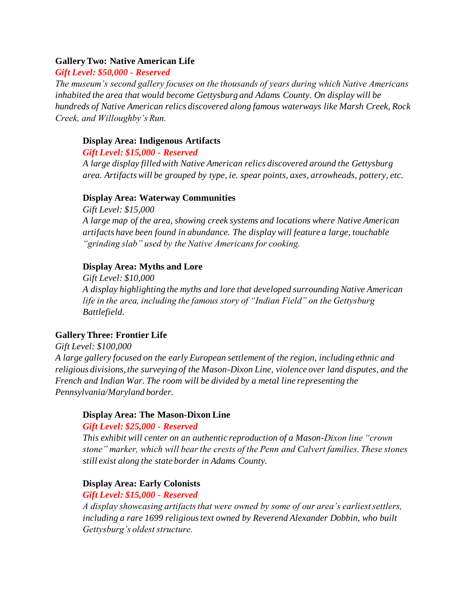#### **Gallery Two: Native American Life**

#### *Gift Level: \$50,000 - Reserved*

*The museum's second gallery focuses on the thousands of years during which Native Americans inhabited the area that would become Gettysburg and Adams County. On display will be hundreds of Native American relics discovered along famous waterways like Marsh Creek, Rock Creek, and Willoughby's Run.* 

#### **Display Area: Indigenous Artifacts**

*Gift Level: \$15,000 - Reserved*

*A large display filled with Native American relics discovered around the Gettysburg area. Artifacts will be grouped by type, ie. spear points, axes, arrowheads, pottery, etc.* 

#### **Display Area: Waterway Communities**

*Gift Level: \$15,000 A large map of the area, showing creek systems and locations where Native American artifacts have been found in abundance. The display will feature a large, touchable "grinding slab" used by the Native Americans for cooking.* 

#### **Display Area: Myths and Lore**

*Gift Level: \$10,000 A display highlighting the myths and lore that developed surrounding Native American life in the area, including the famous story of "Indian Field" on the Gettysburg Battlefield.* 

# **Gallery Three: Frontier Life**

*Gift Level: \$100,000 A large gallery focused on the early European settlement of the region, including ethnic and religious divisions, the surveying of the Mason-Dixon Line, violence over land disputes, and the French and Indian War. The room will be divided by a metal line representing the Pennsylvania/Maryland border.* 

#### **Display Area: The Mason-Dixon Line**

#### *Gift Level: \$25,000 - Reserved*

*This exhibit will center on an authentic reproduction of a Mason-Dixon line "crown stone" marker, which will bear the crests of the Penn and Calvert families. These stones still exist along the state border in Adams County.* 

#### **Display Area: Early Colonists**

#### *Gift Level: \$15,000 - Reserved*

*A display showcasing artifacts that were owned by some of our area's earliest settlers, including a rare 1699 religious text owned by Reverend Alexander Dobbin, who built Gettysburg's oldest structure.*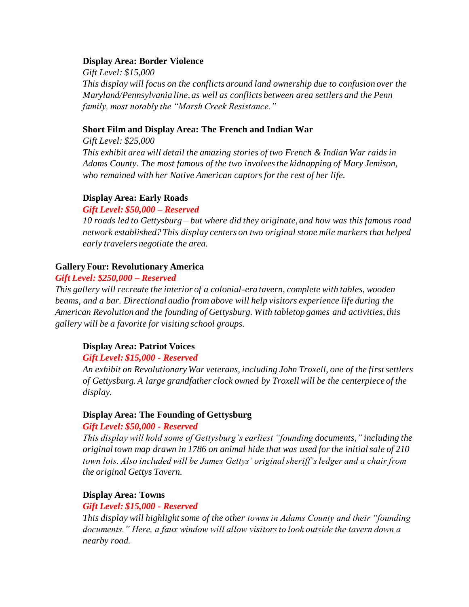#### **Display Area: Border Violence**

*Gift Level: \$15,000 This display will focus on the conflicts around land ownership due to confusion over the Maryland/Pennsylvania line, as well as conflicts between area settlers and the Penn family, most notably the "Marsh Creek Resistance."* 

#### **Short Film and Display Area: The French and Indian War**

*Gift Level: \$25,000 This exhibit area will detail the amazing stories of two French & Indian War raids in Adams County. The most famous of the two involves the kidnapping of Mary Jemison, who remained with her Native American captors for the rest of her life.* 

#### **Display Area: Early Roads**

#### *Gift Level: \$50,000 – Reserved*

*10 roads led to Gettysburg – but where did they originate, and how was this famous road network established? This display centers on two original stone mile markers that helped early travelers negotiate the area.* 

#### **Gallery Four: Revolutionary America**

#### *Gift Level: \$250,000 – Reserved*

*This gallery will recreate the interior of a colonial-era tavern, complete with tables, wooden beams, and a bar. Directional audio from above will help visitors experience life during the American Revolution and the founding of Gettysburg. With tabletop games and activities, this gallery will be a favorite for visiting school groups.*

#### **Display Area: Patriot Voices**

#### *Gift Level: \$15,000 - Reserved*

*An exhibit on Revolutionary War veterans, including John Troxell, one of the first settlers of Gettysburg. A large grandfather clock owned by Troxell will be the centerpiece of the display.* 

#### **Display Area: The Founding of Gettysburg**

#### *Gift Level: \$50,000 - Reserved*

*This display will hold some of Gettysburg's earliest "founding documents," including the original town map drawn in 1786 on animal hide that was used for the initial sale of 210 town lots. Also included will be James Gettys' original sheriff's ledger and a chair from the original Gettys Tavern.* 

#### **Display Area: Towns**

#### *Gift Level: \$15,000 - Reserved*

*This display will highlight some of the other towns in Adams County and their "founding documents." Here, a faux window will allow visitors to look outside the tavern down a nearby road.*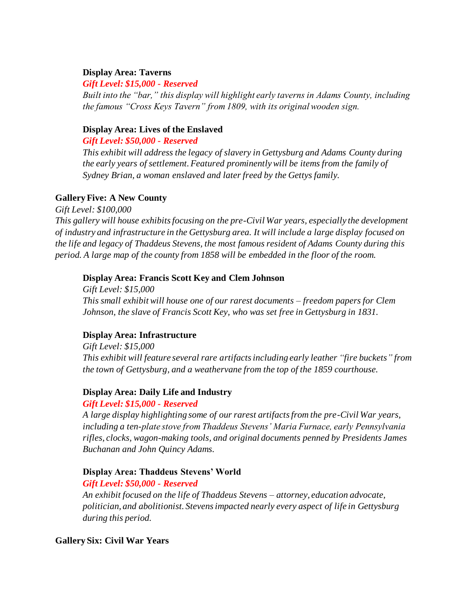#### **Display Area: Taverns**

#### *Gift Level: \$15,000 - Reserved*

*Built into the "bar," this display will highlight early taverns in Adams County, including the famous "Cross Keys Tavern" from 1809, with its original wooden sign.* 

#### **Display Area: Lives of the Enslaved**

*Gift Level: \$50,000 - Reserved*

*This exhibit will address the legacy of slavery in Gettysburg and Adams County during the early years of settlement. Featured prominently will be items from the family of Sydney Brian, a woman enslaved and later freed by the Gettys family.* 

#### **Gallery Five: A New County**

*Gift Level: \$100,000*

*This gallery will house exhibits focusing on the pre-Civil War years, especially the development of industry and infrastructure in the Gettysburg area. It will include a large display focused on the life and legacy of Thaddeus Stevens, the most famous resident of Adams County during this period. A large map of the county from 1858 will be embedded in the floor of the room.* 

#### **Display Area: Francis Scott Key and Clem Johnson**

*Gift Level: \$15,000 This small exhibit will house one of our rarest documents – freedom papers for Clem Johnson, the slave of Francis Scott Key, who was set free in Gettysburg in 1831.* 

#### **Display Area: Infrastructure**

*Gift Level: \$15,000 This exhibit will feature several rare artifacts including early leather "fire buckets" from the town of Gettysburg, and a weathervane from the top of the 1859 courthouse.* 

#### **Display Area: Daily Life and Industry**

#### *Gift Level: \$15,000 - Reserved*

*A large display highlighting some of our rarest artifacts from the pre-Civil War years, including a ten-plate stove from Thaddeus Stevens' Maria Furnace, early Pennsylvania rifles, clocks, wagon-making tools, and original documents penned by Presidents James Buchanan and John Quincy Adams.* 

#### **Display Area: Thaddeus Stevens' World**

#### *Gift Level: \$50,000 - Reserved*

*An exhibit focused on the life of Thaddeus Stevens – attorney, education advocate, politician, and abolitionist. Stevens impacted nearly every aspect of life in Gettysburg during this period.* 

### **Gallery Six: Civil War Years**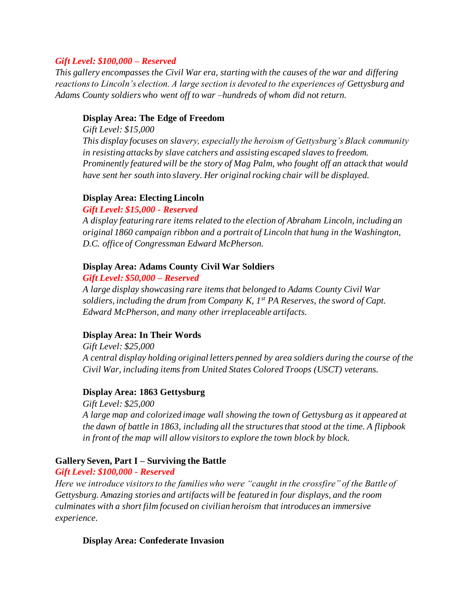#### *Gift Level: \$100,000 – Reserved*

*This gallery encompasses the Civil War era, starting with the causes of the war and differing reactions to Lincoln's election. A large section is devoted to the experiences of Gettysburg and Adams County soldiers who went off to war –hundreds of whom did not return.* 

#### **Display Area: The Edge of Freedom**

*Gift Level: \$15,000 This display focuses on slavery, especially the heroism of Gettysburg's Black community in resisting attacks by slave catchers and assisting escaped slaves to freedom. Prominently featured will be the story of Mag Palm, who fought off an attack that would have sent her south into slavery. Her original rocking chair will be displayed.* 

#### **Display Area: Electing Lincoln**

#### *Gift Level: \$15,000 - Reserved*

*A display featuring rare items related to the election of Abraham Lincoln, including an original 1860 campaign ribbon and a portrait of Lincoln that hung in the Washington, D.C. office of Congressman Edward McPherson.* 

#### **Display Area: Adams County Civil War Soldiers**

#### *Gift Level: \$50,000 – Reserved*

*A large display showcasing rare items that belonged to Adams County Civil War soldiers, including the drum from Company K, 1st PA Reserves, the sword of Capt. Edward McPherson, and many other irreplaceable artifacts.* 

#### **Display Area: In Their Words**

*Gift Level: \$25,000 A central display holding original letters penned by area soldiers during the course of the Civil War, including items from United States Colored Troops (USCT) veterans.* 

#### **Display Area: 1863 Gettysburg**

*Gift Level: \$25,000 A large map and colorized image wall showing the town of Gettysburg as it appeared at the dawn of battle in 1863, including all the structures that stood at the time. A flipbook in front of the map will allow visitors to explore the town block by block.* 

#### **Gallery Seven, Part I – Surviving the Battle**

*Gift Level: \$100,000 - Reserved*

*Here we introduce visitors to the families who were "caught in the crossfire" of the Battle of Gettysburg. Amazing stories and artifacts will be featured in four displays, and the room culminates with a short film focused on civilian heroism that introduces an immersive experience.* 

#### **Display Area: Confederate Invasion**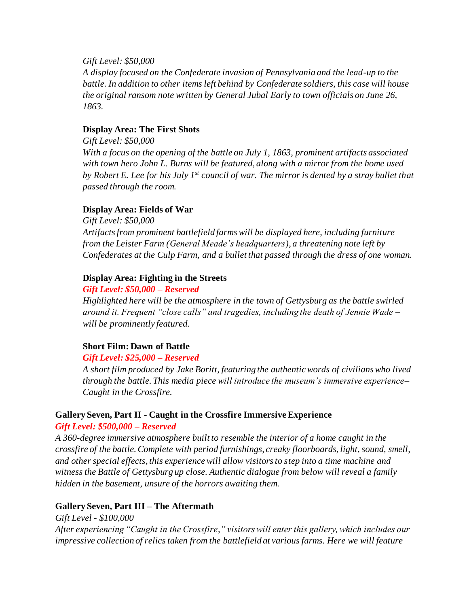#### *Gift Level: \$50,000*

*A display focused on the Confederate invasion of Pennsylvania and the lead-up to the battle. In addition to other items left behind by Confederate soldiers, this case will house the original ransom note written by General Jubal Early to town officials on June 26, 1863.* 

#### **Display Area: The First Shots**

*Gift Level: \$50,000 With a focus on the opening of the battle on July 1, 1863, prominent artifacts associated with town hero John L. Burns will be featured, along with a mirror from the home used by Robert E. Lee for his July 1st council of war. The mirror is dented by a stray bullet that passed through the room.* 

# **Display Area: Fields of War**

*Gift Level: \$50,000 Artifacts from prominent battlefield farms will be displayed here, including furniture from the Leister Farm (General Meade's headquarters), a threatening note left by Confederates at the Culp Farm, and a bullet that passed through the dress of one woman.* 

# **Display Area: Fighting in the Streets**

*Gift Level: \$50,000 – Reserved*

*Highlighted here will be the atmosphere in the town of Gettysburg as the battle swirled around it. Frequent "close calls" and tragedies, including the death of Jennie Wade – will be prominently featured.* 

# **Short Film: Dawn of Battle**

#### *Gift Level: \$25,000 – Reserved*

*A short film produced by Jake Boritt, featuring the authentic words of civilians who lived through the battle. This media piece will introduce the museum's immersive experience– Caught in the Crossfire.* 

# **Gallery Seven, Part II - Caught in the Crossfire Immersive Experience** *Gift Level: \$500,000 – Reserved*

*A 360-degree immersive atmosphere built to resemble the interior of a home caught in the crossfire of the battle. Complete with period furnishings, creaky floorboards, light, sound, smell, and other special effects, this experience will allow visitors to step into a time machine and witness the Battle of Gettysburg up close. Authentic dialogue from below will reveal a family hidden in the basement, unsure of the horrors awaiting them.* 

# **Gallery Seven, Part III – The Aftermath**

*Gift Level - \$100,000*

*After experiencing "Caught in the Crossfire," visitors will enter this gallery, which includes our impressive collection of relics taken from the battlefield at various farms. Here we will feature*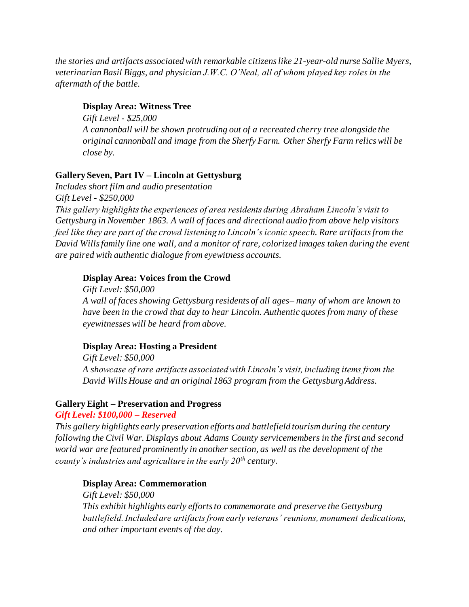*the stories and artifacts associated with remarkable citizens like 21-year-old nurse Sallie Myers, veterinarian Basil Biggs, and physician J.W.C. O'Neal, all of whom played key roles in the aftermath of the battle.*

### **Display Area: Witness Tree**

*Gift Level - \$25,000 A cannonball will be shown protruding out of a recreated cherry tree alongside the original cannonball and image from the Sherfy Farm. Other Sherfy Farm relics will be close by.*

# **Gallery Seven, Part IV – Lincoln at Gettysburg**

*Includes short film and audio presentation Gift Level - \$250,000 This gallery highlights the experiences of area residents during Abraham Lincoln's visit to Gettysburg in November 1863. A wall of faces and directional audio from above help visitors feel like they are part of the crowd listening to Lincoln's iconic speech. Rare artifacts from the David Wills family line one wall, and a monitor of rare, colorized images taken during the event are paired with authentic dialogue from eyewitness accounts.* 

# **Display Area: Voices from the Crowd**

*Gift Level: \$50,000 A wall of faces showing Gettysburg residents of all ages– many of whom are known to have been in the crowd that day to hear Lincoln. Authentic quotes from many of these eyewitnesses will be heard from above.* 

# **Display Area: Hosting a President**

*Gift Level: \$50,000 A showcase of rare artifacts associated with Lincoln's visit, including items from the David Wills House and an original 1863 program from the Gettysburg Address.* 

# **Gallery Eight – Preservation and Progress**

#### *Gift Level: \$100,000 – Reserved*

*This gallery highlights early preservation efforts and battlefield tourism during the century following the Civil War. Displays about Adams County servicemembers in the first and second world war are featured prominently in another section, as well as the development of the county's industries and agriculture in the early 20th century.* 

# **Display Area: Commemoration**

*Gift Level: \$50,000 This exhibit highlights early efforts to commemorate and preserve the Gettysburg battlefield. Included are artifacts from early veterans' reunions, monument dedications, and other important events of the day.*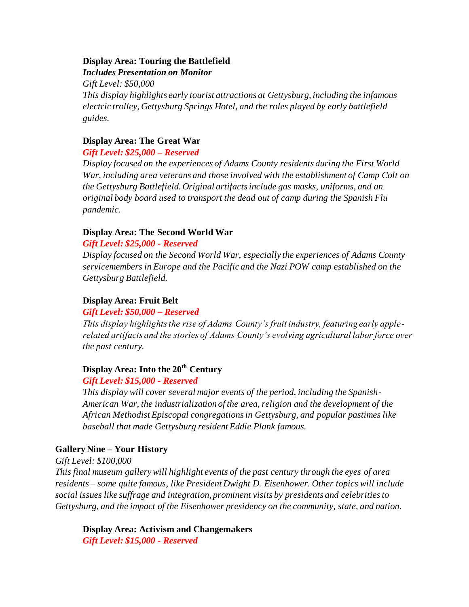# **Display Area: Touring the Battlefield**

*Includes Presentation on Monitor*

*Gift Level: \$50,000* 

*This display highlights early tourist attractions at Gettysburg, including the infamous electric trolley, Gettysburg Springs Hotel, and the roles played by early battlefield guides.* 

# **Display Area: The Great War**

# *Gift Level: \$25,000 – Reserved*

*Display focused on the experiences of Adams County residents during the First World War, including area veterans and those involved with the establishment of Camp Colt on the Gettysburg Battlefield. Original artifacts include gas masks, uniforms, and an original body board used to transport the dead out of camp during the Spanish Flu pandemic.* 

# **Display Area: The Second World War**

# *Gift Level: \$25,000 - Reserved*

*Display focused on the Second World War, especially the experiences of Adams County servicemembers in Europe and the Pacific and the Nazi POW camp established on the Gettysburg Battlefield.* 

# **Display Area: Fruit Belt**

# *Gift Level: \$50,000 – Reserved*

*This display highlights the rise of Adams County's fruit industry, featuring early applerelated artifacts and the stories of Adams County's evolving agricultural labor force over the past century.* 

# **Display Area: Into the 20th Century**

# *Gift Level: \$15,000 - Reserved*

*This display will cover several major events of the period, including the Spanish-American War, the industrialization of the area, religion and the development of the African Methodist Episcopal congregations in Gettysburg, and popular pastimes like baseball that made Gettysburg resident Eddie Plank famous.* 

# **Gallery Nine – Your History**

*Gift Level: \$100,000*

*This final museum gallery will highlight events of the past century through the eyes of area residents – some quite famous, like President Dwight D. Eisenhower. Other topics will include social issues like suffrage and integration, prominent visits by presidents and celebrities to Gettysburg, and the impact of the Eisenhower presidency on the community, state, and nation.* 

**Display Area: Activism and Changemakers** *Gift Level: \$15,000 - Reserved*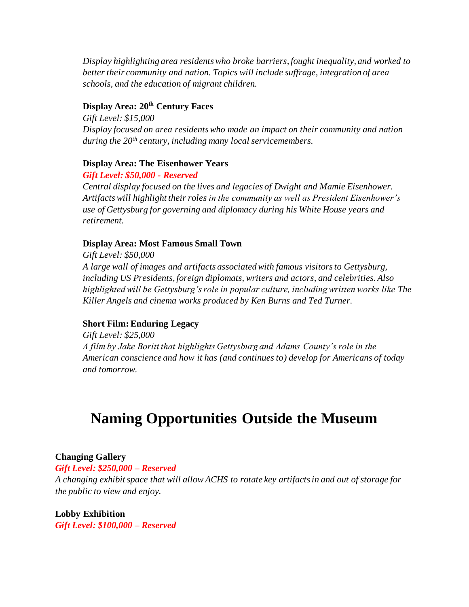*Display highlighting area residents who broke barriers, fought inequality, and worked to better their community and nation. Topics will include suffrage, integration of area schools, and the education of migrant children.* 

# **Display Area: 20th Century Faces**

*Gift Level: \$15,000 Display focused on area residents who made an impact on their community and nation during the 20th century, including many local servicemembers.*

# **Display Area: The Eisenhower Years**

*Gift Level: \$50,000 - Reserved*

*Central display focused on the lives and legacies of Dwight and Mamie Eisenhower. Artifacts will highlight their roles in the community as well as President Eisenhower's use of Gettysburg for governing and diplomacy during his White House years and retirement.* 

# **Display Area: Most Famous Small Town**

*Gift Level: \$50,000 A large wall of images and artifacts associated with famous visitors to Gettysburg, including US Presidents, foreign diplomats, writers and actors, and celebrities. Also highlighted will be Gettysburg's role in popular culture, including written works like The Killer Angels and cinema works produced by Ken Burns and Ted Turner.* 

# **Short Film: Enduring Legacy**

*Gift Level: \$25,000 A film by Jake Boritt that highlights Gettysburg and Adams County's role in the American conscience and how it has (and continues to) develop for Americans of today and tomorrow.* 

# **Naming Opportunities Outside the Museum**

#### **Changing Gallery**

*Gift Level: \$250,000 – Reserved* 

*A changing exhibit space that will allow ACHS to rotate key artifacts in and out of storage for the public to view and enjoy.* 

**Lobby Exhibition** *Gift Level: \$100,000 – Reserved*